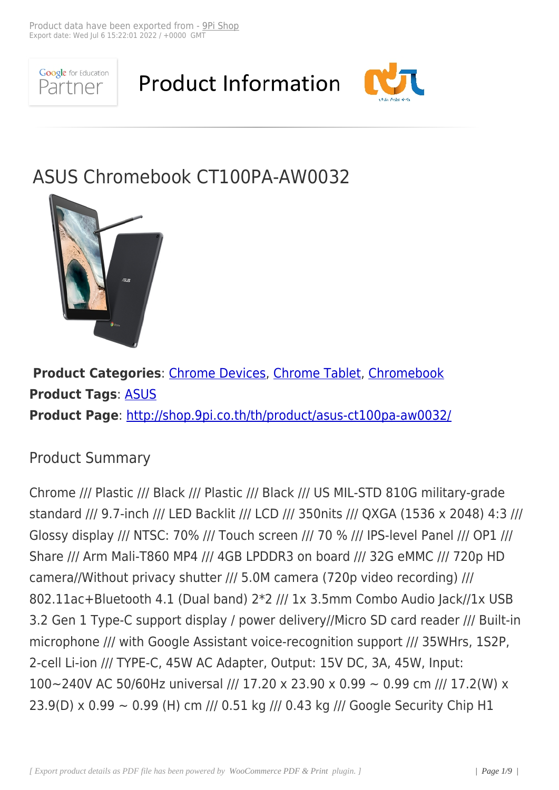

**Product Information** 



## ASUS Chromebook CT100PA-AW0032



**Product Categories**: Chrome Devices, Chrome Tablet, Chromebook **Product Tags**: ASUS **Product Page**: http://s[hop.9pi.co.th/th/](http://shop.9pi.co.th/th/product-category/chrome-devices/)[product/asus-ct1](http://shop.9pi.co.th/th/product-category/chrome-devices/chrome-tablet/)[00pa-aw0032](http://shop.9pi.co.th/th/product-category/chrome-devices/chromebook/)/

## Product Sum[mary](http://shop.9pi.co.th/th/product/asus-ct100pa-aw0032/)

Chrome /// Plastic /// Black /// Plastic /// Black /// US MIL-STD 810G military-grade standard /// 9.7-inch /// LED Backlit /// LCD /// 350nits /// QXGA (1536 x 2048) 4:3 /// Glossy display /// NTSC: 70% /// Touch screen /// 70 % /// IPS-level Panel /// OP1 /// Share /// Arm Mali-T860 MP4 /// 4GB LPDDR3 on board /// 32G eMMC /// 720p HD camera//Without privacy shutter /// 5.0M camera (720p video recording) /// 802.11ac+Bluetooth 4.1 (Dual band) 2\*2 /// 1x 3.5mm Combo Audio Jack//1x USB 3.2 Gen 1 Type-C support display / power delivery//Micro SD card reader /// Built-in microphone /// with Google Assistant voice-recognition support /// 35WHrs, 1S2P, 2-cell Li-ion /// TYPE-C, 45W AC Adapter, Output: 15V DC, 3A, 45W, Input: 100~240V AC 50/60Hz universal /// 17.20 x 23.90 x 0.99 ~ 0.99 cm /// 17.2(W) x 23.9(D) x 0.99 ~ 0.99 (H) cm /// 0.51 kg /// 0.43 kg /// Google Security Chip H1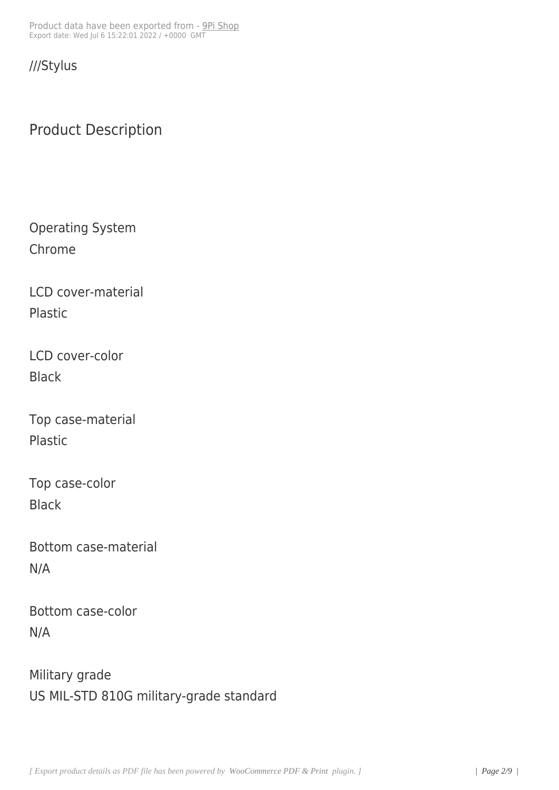///Stylus

## Product Description

Operating System Chrome

LCD cover-material Plastic

LCD cover-color Black

Top case-material Plastic

Top case-color Black

Bottom case-material N/A

Bottom case-color N/A

Military grade US MIL-STD 810G military-grade standard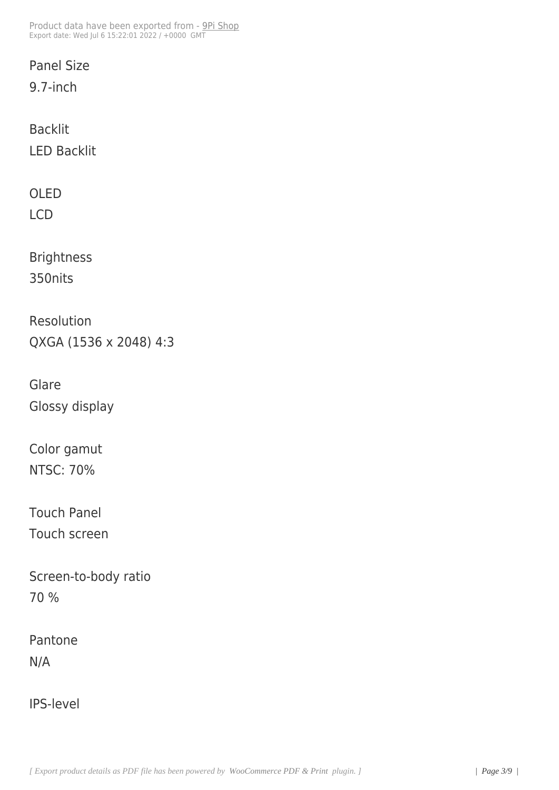Panel Size 9.7-inch

Backlit LED Backlit

OLED

LCD

Brightness 350nits

Resolution QXGA (1536 x 2048) 4:3

Glare Glossy display

Color gamut NTSC: 70%

Touch Panel

Touch screen

Screen-to-body ratio 70 %

Pantone N/A

IPS-level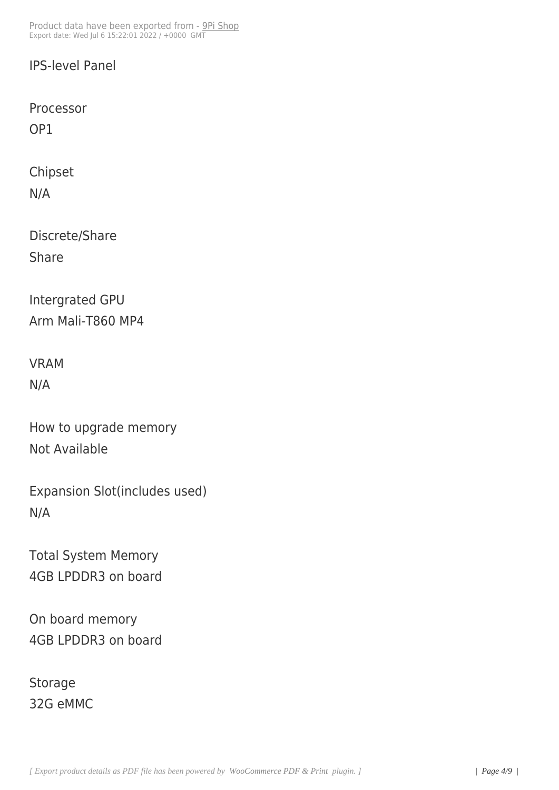IPS-level Panel

Processor

OP1

Chipset

N/A

Discrete/Share Share

Intergrated GPU Arm Mali-T860 MP4

VRAM N/A

How to upgrade memory Not Available

Expansion Slot(includes used) N/A

Total System Memory 4GB LPDDR3 on board

On board memory 4GB LPDDR3 on board

Storage 32G eMMC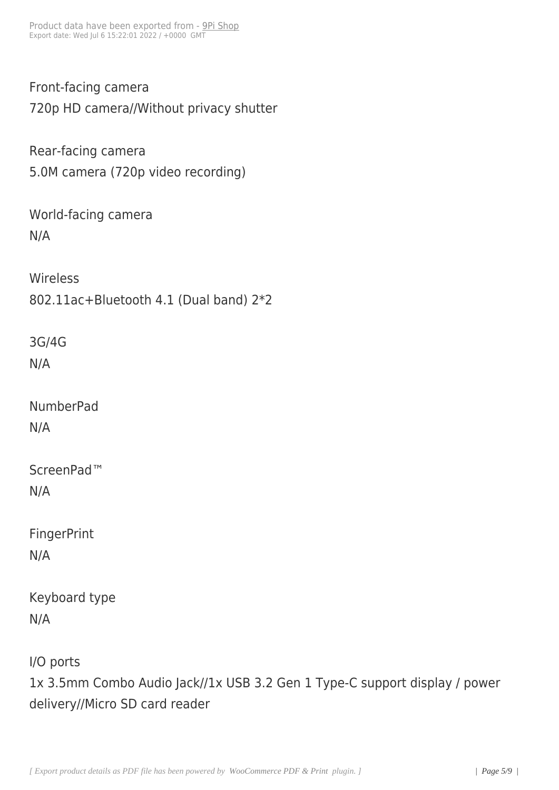Front-facing camera 720p HD camera//Without privacy shutter

Rear-facing camera 5.0M camera (720p video recording)

World-facing camera N/A

Wireless 802.11ac+Bluetooth 4.1 (Dual band) 2\*2

3G/4G

N/A

NumberPad N/A

ScreenPad™

N/A

FingerPrint N/A

Keyboard type N/A

I/O ports

1x 3.5mm Combo Audio Jack//1x USB 3.2 Gen 1 Type-C support display / power delivery//Micro SD card reader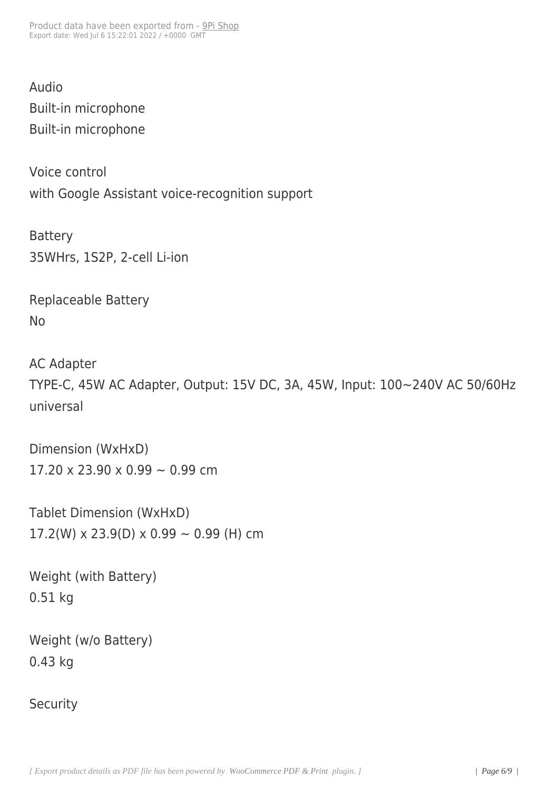Audio Built-in microphone Built-in microphone

Voice control with Google Assistant voice-recognition support

Battery 35WHrs, 1S2P, 2-cell Li-ion

Replaceable Battery No

AC Adapter TYPE-C, 45W AC Adapter, Output: 15V DC, 3A, 45W, Input: 100~240V AC 50/60Hz universal

Dimension (WxHxD)  $17.20 \times 23.90 \times 0.99 \sim 0.99$  cm

Tablet Dimension (WxHxD)  $17.2(W) \times 23.9(D) \times 0.99 \sim 0.99$  (H) cm

Weight (with Battery) 0.51 kg

Weight (w/o Battery) 0.43 kg

Security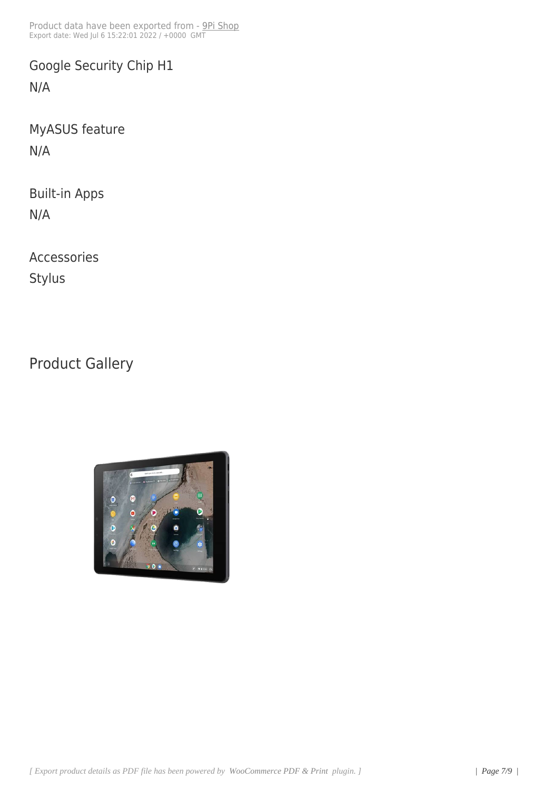Google Security Chip H1 N/A

MyASUS feature N/A

Built-in Apps N/A

Accessories Stylus

Product Gallery

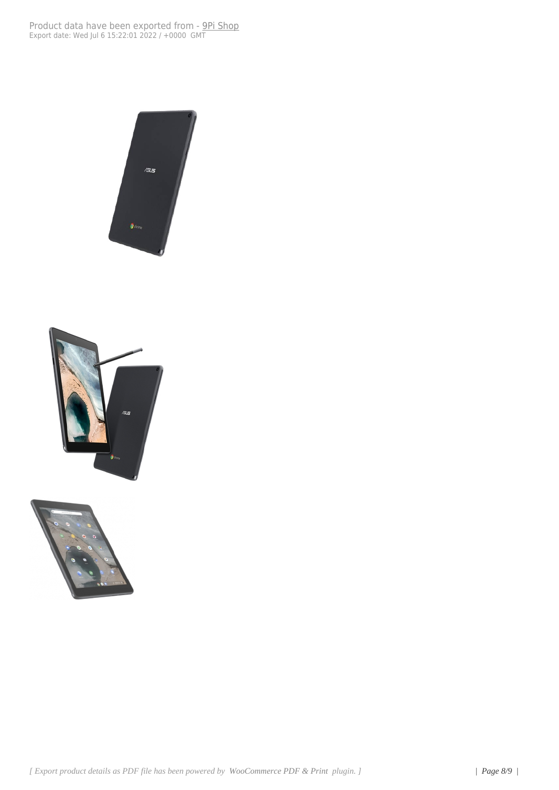